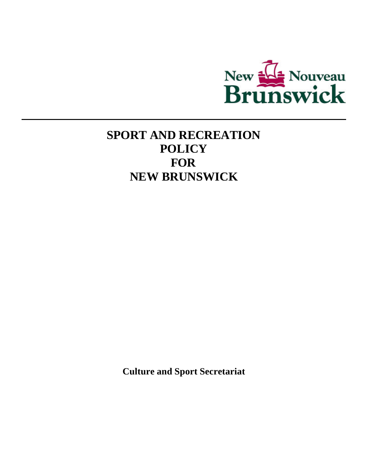

# **SPORT AND RECREATION POLICY FOR NEW BRUNSWICK**

**Culture and Sport Secretariat**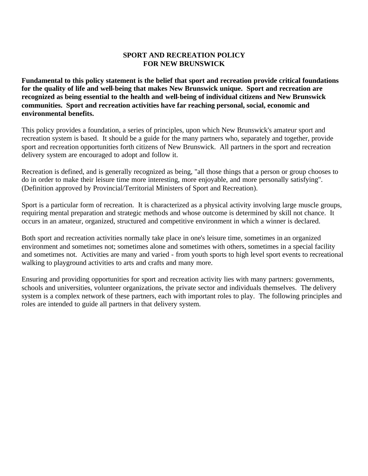# **SPORT AND RECREATION POLICY FOR NEW BRUNSWICK**

**Fundamental to this policy statement is the belief that sport and recreation provide critical foundations for the quality of life and well-being that makes New Brunswick unique. Sport and recreation are recognized as being essential to the health and well-being of individual citizens and New Brunswick communities. Sport and recreation activities have far reaching personal, social, economic and environmental benefits.** 

This policy provides a foundation, a series of principles, upon which New Brunswick's amateur sport and recreation system is based. It should be a guide for the many partners who, separately and together, provide sport and recreation opportunities forth citizens of New Brunswick. All partners in the sport and recreation delivery system are encouraged to adopt and follow it.

Recreation is defined, and is generally recognized as being, "all those things that a person or group chooses to do in order to make their leisure time more interesting, more enjoyable, and more personally satisfying". (Definition approved by Provincial/Territorial Ministers of Sport and Recreation).

Sport is a particular form of recreation. It is characterized as a physical activity involving large muscle groups, requiring mental preparation and strategic methods and whose outcome is determined by skill not chance. It occurs in an amateur, organized, structured and competitive environment in which a winner is declared.

Both sport and recreation activities normally take place in one's leisure time, sometimes in an organized environment and sometimes not; sometimes alone and sometimes with others, sometimes in a special facility and sometimes not. Activities are many and varied - from youth sports to high level sport events to recreational walking to playground activities to arts and crafts and many more.

Ensuring and providing opportunities for sport and recreation activity lies with many partners: governments, schools and universities, volunteer organizations, the private sector and individuals themselves. The delivery system is a complex network of these partners, each with important roles to play. The following principles and roles are intended to guide all partners in that delivery system.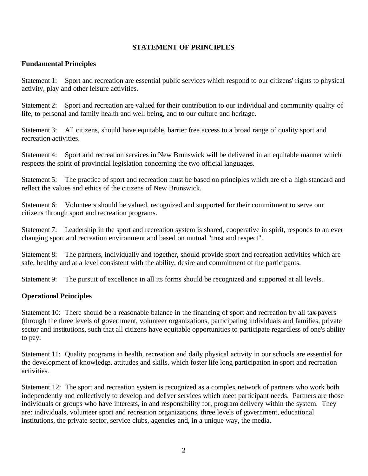## **STATEMENT OF PRINCIPLES**

# **Fundamental Principles**

Statement 1: Sport and recreation are essential public services which respond to our citizens' rights to physical activity, play and other leisure activities.

Statement 2: Sport and recreation are valued for their contribution to our individual and community quality of life, to personal and family health and well being, and to our culture and heritage.

Statement 3: All citizens, should have equitable, barrier free access to a broad range of quality sport and recreation activities.

Statement 4: Sport arid recreation services in New Brunswick will be delivered in an equitable manner which respects the spirit of provincial legislation concerning the two official languages.

Statement 5: The practice of sport and recreation must be based on principles which are of a high standard and reflect the values and ethics of the citizens of New Brunswick.

Statement 6: Volunteers should be valued, recognized and supported for their commitment to serve our citizens through sport and recreation programs.

Statement 7: Leadership in the sport and recreation system is shared, cooperative in spirit, responds to an ever changing sport and recreation environment and based on mutual "trust and respect".

Statement 8: The partners, individually and together, should provide sport and recreation activities which are safe, healthy and at a level consistent with the ability, desire and commitment of the participants.

Statement 9: The pursuit of excellence in all its forms should be recognized and supported at all levels.

# **Operational Principles**

Statement 10: There should be a reasonable balance in the financing of sport and recreation by all tax-payers (through the three levels of government, volunteer organizations, participating individuals and families, private sector and institutions, such that all citizens have equitable opportunities to participate regardless of one's ability to pay.

Statement 11: Quality programs in health, recreation and daily physical activity in our schools are essential for the development of knowledge, attitudes and skills, which foster life long participation in sport and recreation activities.

Statement 12: The sport and recreation system is recognized as a complex network of partners who work both independently and collectively to develop and deliver services which meet participant needs. Partners are those individuals or groups who have interests, in and responsibility for, program delivery within the system. They are: individuals, volunteer sport and recreation organizations, three levels of government, educational institutions, the private sector, service clubs, agencies and, in a unique way, the media.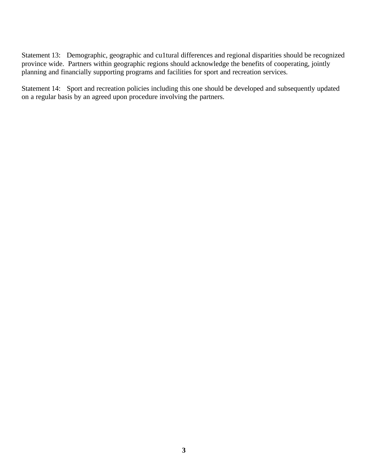Statement 13: Demographic, geographic and cu1tural differences and regional disparities should be recognized province wide. Partners within geographic regions should acknowledge the benefits of cooperating, jointly planning and financially supporting programs and facilities for sport and recreation services.

Statement 14: Sport and recreation policies including this one should be developed and subsequently updated on a regular basis by an agreed upon procedure involving the partners.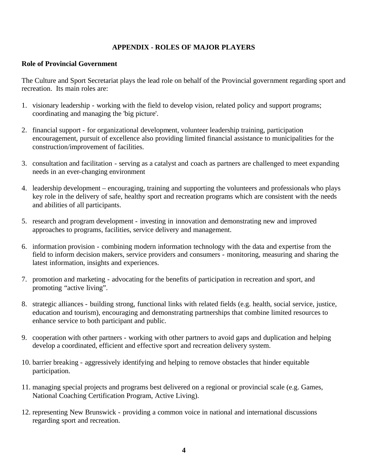## **APPENDIX - ROLES OF MAJOR PLAYERS**

## **Role of Provincial Government**

The Culture and Sport Secretariat plays the lead role on behalf of the Provincial government regarding sport and recreation. Its main roles are:

- 1. visionary leadership working with the field to develop vision, related policy and support programs; coordinating and managing the 'big picture'.
- 2. financial support for organizational development, volunteer leadership training, participation encouragement, pursuit of excellence also providing limited financial assistance to municipalities for the construction/improvement of facilities.
- 3. consultation and facilitation serving as a catalyst and coach as partners are challenged to meet expanding needs in an ever-changing environment
- 4. leadership development encouraging, training and supporting the volunteers and professionals who plays key role in the delivery of safe, healthy sport and recreation programs which are consistent with the needs and abilities of all participants.
- 5. research and program development investing in innovation and demonstrating new and improved approaches to programs, facilities, service delivery and management.
- 6. information provision combining modern information technology with the data and expertise from the field to inform decision makers, service providers and consumers - monitoring, measuring and sharing the latest information, insights and experiences.
- 7. promotion and marketing advocating for the benefits of participation in recreation and sport, and promoting "active living".
- 8. strategic alliances building strong, functional links with related fields (e.g. health, social service, justice, education and tourism), encouraging and demonstrating partnerships that combine limited resources to enhance service to both participant and public.
- 9. cooperation with other partners working with other partners to avoid gaps and duplication and helping develop a coordinated, efficient and effective sport and recreation delivery system.
- 10. barrier breaking aggressively identifying and helping to remove obstacles that hinder equitable participation.
- 11. managing special projects and programs best delivered on a regional or provincial scale (e.g. Games, National Coaching Certification Program, Active Living).
- 12. representing New Brunswick providing a common voice in national and international discussions regarding sport and recreation.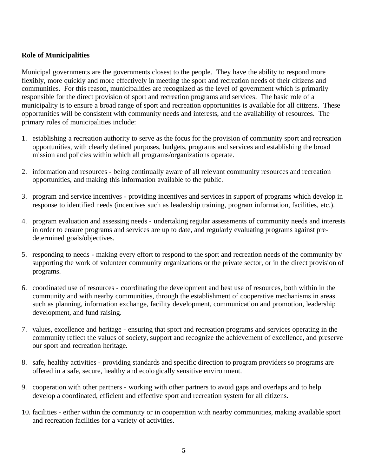# **Role of Municipalities**

Municipal governments are the governments closest to the people. They have the ability to respond more flexibly, more quickly and more effectively in meeting the sport and recreation needs of their citizens and communities. For this reason, municipalities are recognized as the level of government which is primarily responsible for the direct provision of sport and recreation programs and services. The basic role of a municipality is to ensure a broad range of sport and recreation opportunities is available for all citizens. These opportunities will be consistent with community needs and interests, and the availability of resources. The primary roles of municipalities include:

- 1. establishing a recreation authority to serve as the focus for the provision of community sport and recreation opportunities, with clearly defined purposes, budgets, programs and services and establishing the broad mission and policies within which all programs/organizations operate.
- 2. information and resources being continually aware of all relevant community resources and recreation opportunities, and making this information available to the public.
- 3. program and service incentives providing incentives and services in support of programs which develop in response to identified needs (incentives such as leadership training, program information, facilities, etc.).
- 4. program evaluation and assessing needs undertaking regular assessments of community needs and interests in order to ensure programs and services are up to date, and regularly evaluating programs against predetermined goals/objectives.
- 5. responding to needs making every effort to respond to the sport and recreation needs of the community by supporting the work of volunteer community organizations or the private sector, or in the direct provision of programs.
- 6. coordinated use of resources coordinating the development and best use of resources, both within in the community and with nearby communities, through the establishment of cooperative mechanisms in areas such as planning, information exchange, facility development, communication and promotion, leadership development, and fund raising.
- 7. values, excellence and heritage ensuring that sport and recreation programs and services operating in the community reflect the values of society, support and recognize the achievement of excellence, and preserve our sport and recreation heritage.
- 8. safe, healthy activities providing standards and specific direction to program providers so programs are offered in a safe, secure, healthy and ecologically sensitive environment.
- 9. cooperation with other partners working with other partners to avoid gaps and overlaps and to help develop a coordinated, efficient and effective sport and recreation system for all citizens.
- 10. facilities either within the community or in cooperation with nearby communities, making available sport and recreation facilities for a variety of activities.